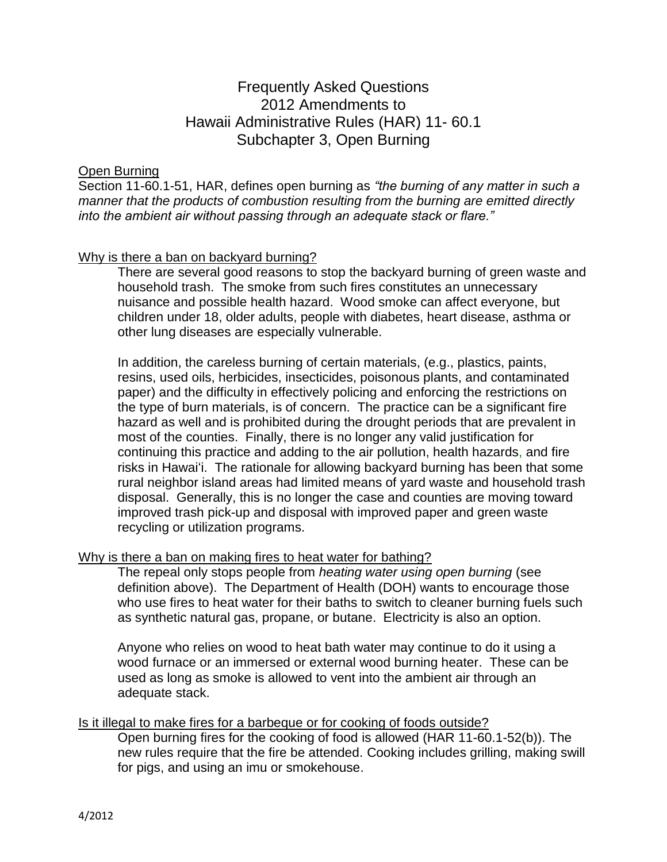# Frequently Asked Questions 2012 Amendments to Hawaii Administrative Rules (HAR) 11- 60.1 Subchapter 3, Open Burning

## Open Burning

Section 11-60.1-51, HAR, defines open burning as *"the burning of any matter in such a manner that the products of combustion resulting from the burning are emitted directly into the ambient air without passing through an adequate stack or flare."*

## Why is there a ban on backyard burning?

There are several good reasons to stop the backyard burning of green waste and household trash. The smoke from such fires constitutes an unnecessary nuisance and possible health hazard. Wood smoke can affect everyone, but children under 18, older adults, people with diabetes, heart disease, asthma or other lung diseases are especially vulnerable.

In addition, the careless burning of certain materials, (e.g., plastics, paints, resins, used oils, herbicides, insecticides, poisonous plants, and contaminated paper) and the difficulty in effectively policing and enforcing the restrictions on the type of burn materials, is of concern. The practice can be a significant fire hazard as well and is prohibited during the drought periods that are prevalent in most of the counties. Finally, there is no longer any valid justification for continuing this practice and adding to the air pollution, health hazards, and fire risks in Hawai'i. The rationale for allowing backyard burning has been that some rural neighbor island areas had limited means of yard waste and household trash disposal. Generally, this is no longer the case and counties are moving toward improved trash pick-up and disposal with improved paper and green waste recycling or utilization programs.

#### Why is there a ban on making fires to heat water for bathing?

The repeal only stops people from *heating water using open burning* (see definition above). The Department of Health (DOH) wants to encourage those who use fires to heat water for their baths to switch to cleaner burning fuels such as synthetic natural gas, propane, or butane. Electricity is also an option.

Anyone who relies on wood to heat bath water may continue to do it using a wood furnace or an immersed or external wood burning heater. These can be used as long as smoke is allowed to vent into the ambient air through an adequate stack.

#### Is it illegal to make fires for a barbeque or for cooking of foods outside?

Open burning fires for the cooking of food is allowed (HAR 11-60.1-52(b)). The new rules require that the fire be attended. Cooking includes grilling, making swill for pigs, and using an imu or smokehouse.